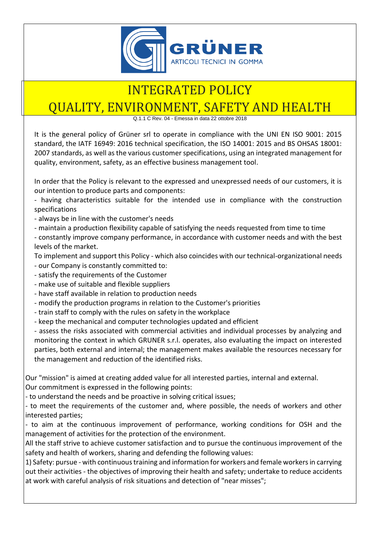

## INTEGRATED POLICY

## QUALITY, ENVIRONMENT, SAFETY AND HEALTH

Q.1.1 C Rev. 04 - Emessa in data 22 ottobre 2018

It is the general policy of Grüner srl to operate in compliance with the UNI EN ISO 9001: 2015 standard, the IATF 16949: 2016 technical specification, the ISO 14001: 2015 and BS OHSAS 18001: 2007 standards, as well as the various customer specifications, using an integrated management for quality, environment, safety, as an effective business management tool.

In order that the Policy is relevant to the expressed and unexpressed needs of our customers, it is our intention to produce parts and components:

- having characteristics suitable for the intended use in compliance with the construction specifications

- always be in line with the customer's needs

- maintain a production flexibility capable of satisfying the needs requested from time to time

- constantly improve company performance, in accordance with customer needs and with the best levels of the market.

To implement and support this Policy - which also coincides with our technical-organizational needs

- our Company is constantly committed to:
- satisfy the requirements of the Customer
- make use of suitable and flexible suppliers
- have staff available in relation to production needs
- modify the production programs in relation to the Customer's priorities
- train staff to comply with the rules on safety in the workplace
- keep the mechanical and computer technologies updated and efficient

- assess the risks associated with commercial activities and individual processes by analyzing and monitoring the context in which GRUNER s.r.l. operates, also evaluating the impact on interested parties, both external and internal; the management makes available the resources necessary for the management and reduction of the identified risks.

Our "mission" is aimed at creating added value for all interested parties, internal and external. Our commitment is expressed in the following points:

- to understand the needs and be proactive in solving critical issues;

- to meet the requirements of the customer and, where possible, the needs of workers and other interested parties;

- to aim at the continuous improvement of performance, working conditions for OSH and the management of activities for the protection of the environment.

All the staff strive to achieve customer satisfaction and to pursue the continuous improvement of the safety and health of workers, sharing and defending the following values:

1) Safety: pursue - with continuous training and information for workers and female workers in carrying out their activities - the objectives of improving their health and safety; undertake to reduce accidents at work with careful analysis of risk situations and detection of "near misses";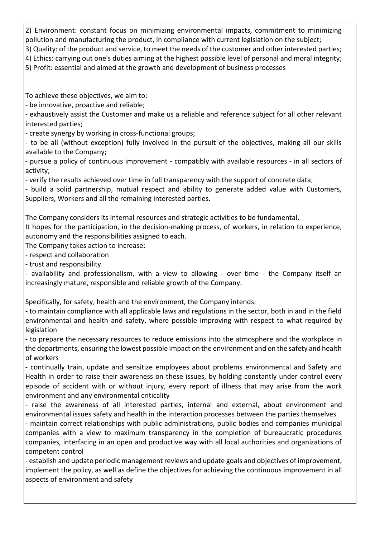2) Environment: constant focus on minimizing environmental impacts, commitment to minimizing pollution and manufacturing the product, in compliance with current legislation on the subject;

3) Quality: of the product and service, to meet the needs of the customer and other interested parties;

4) Ethics: carrying out one's duties aiming at the highest possible level of personal and moral integrity; 5) Profit: essential and aimed at the growth and development of business processes

To achieve these objectives, we aim to:

- be innovative, proactive and reliable;

- exhaustively assist the Customer and make us a reliable and reference subject for all other relevant interested parties;

- create synergy by working in cross-functional groups;

- to be all (without exception) fully involved in the pursuit of the objectives, making all our skills available to the Company;

- pursue a policy of continuous improvement - compatibly with available resources - in all sectors of activity;

- verify the results achieved over time in full transparency with the support of concrete data;

- build a solid partnership, mutual respect and ability to generate added value with Customers, Suppliers, Workers and all the remaining interested parties.

The Company considers its internal resources and strategic activities to be fundamental.

It hopes for the participation, in the decision-making process, of workers, in relation to experience, autonomy and the responsibilities assigned to each.

The Company takes action to increase:

- respect and collaboration

- trust and responsibility

- availability and professionalism, with a view to allowing - over time - the Company itself an increasingly mature, responsible and reliable growth of the Company.

Specifically, for safety, health and the environment, the Company intends:

- to maintain compliance with all applicable laws and regulations in the sector, both in and in the field environmental and health and safety, where possible improving with respect to what required by legislation

- to prepare the necessary resources to reduce emissions into the atmosphere and the workplace in the departments, ensuring the lowest possible impact on the environment and on the safety and health of workers

- continually train, update and sensitize employees about problems environmental and Safety and Health in order to raise their awareness on these issues, by holding constantly under control every episode of accident with or without injury, every report of illness that may arise from the work environment and any environmental criticality

- raise the awareness of all interested parties, internal and external, about environment and environmental issues safety and health in the interaction processes between the parties themselves

- maintain correct relationships with public administrations, public bodies and companies municipal companies with a view to maximum transparency in the completion of bureaucratic procedures companies, interfacing in an open and productive way with all local authorities and organizations of competent control

- establish and update periodic management reviews and update goals and objectives of improvement, implement the policy, as well as define the objectives for achieving the continuous improvement in all aspects of environment and safety